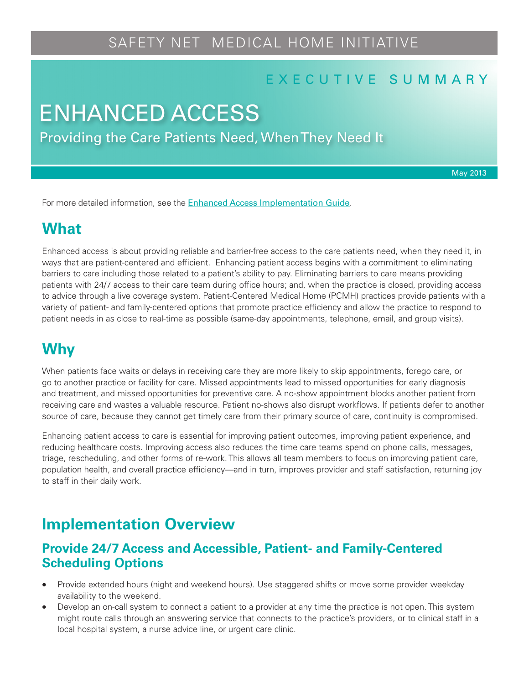# SAFETY NET MEDICAL HOME INITIATIVE

#### E X E C U T I V E S U M M A R Y

# ENHANCED ACCESS

Providing the Care Patients Need, When They Need It

May 2013

For more detailed information, see the [Enhanced Access Implementation Guide](http://www.safetynetmedicalhome.org/sites/default/files/Implementation-Guide-Enhanced-Access.pdf).

## **What**

Enhanced access is about providing reliable and barrier-free access to the care patients need, when they need it, in ways that are patient-centered and efficient. Enhancing patient access begins with a commitment to eliminating barriers to care including those related to a patient's ability to pay. Eliminating barriers to care means providing patients with 24/7 access to their care team during office hours; and, when the practice is closed, providing access to advice through a live coverage system. Patient-Centered Medical Home (PCMH) practices provide patients with a variety of patient- and family-centered options that promote practice efficiency and allow the practice to respond to patient needs in as close to real-time as possible (same-day appointments, telephone, email, and group visits).

# **Why**

When patients face waits or delays in receiving care they are more likely to skip appointments, forego care, or go to another practice or facility for care. Missed appointments lead to missed opportunities for early diagnosis and treatment, and missed opportunities for preventive care. A no-show appointment blocks another patient from receiving care and wastes a valuable resource. Patient no-shows also disrupt workflows. If patients defer to another source of care, because they cannot get timely care from their primary source of care, continuity is compromised.

Enhancing patient access to care is essential for improving patient outcomes, improving patient experience, and reducing healthcare costs. Improving access also reduces the time care teams spend on phone calls, messages, triage, rescheduling, and other forms of re-work. This allows all team members to focus on improving patient care, population health, and overall practice efficiency—and in turn, improves provider and staff satisfaction, returning joy to staff in their daily work.

# **Implementation Overview**

#### **Provide 24/7 Access and Accessible, Patient- and Family-Centered Scheduling Options**

- Provide extended hours (night and weekend hours). Use staggered shifts or move some provider weekday availability to the weekend.
- Develop an on-call system to connect a patient to a provider at any time the practice is not open. This system might route calls through an answering service that connects to the practice's providers, or to clinical staff in a local hospital system, a nurse advice line, or urgent care clinic.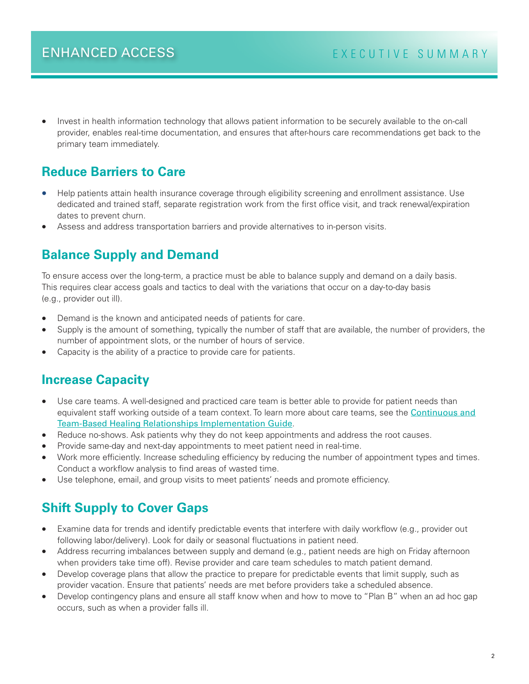Invest in health information technology that allows patient information to be securely available to the on-call provider, enables real-time documentation, and ensures that after-hours care recommendations get back to the primary team immediately.

### **Reduce Barriers to Care**

- Help patients attain health insurance coverage through eligibility screening and enrollment assistance. Use dedicated and trained staff, separate registration work from the first office visit, and track renewal/expiration dates to prevent churn.
- Assess and address transportation barriers and provide alternatives to in-person visits.

## **Balance Supply and Demand**

To ensure access over the long-term, a practice must be able to balance supply and demand on a daily basis. This requires clear access goals and tactics to deal with the variations that occur on a day-to-day basis (e.g., provider out ill).

- Demand is the known and anticipated needs of patients for care.
- Supply is the amount of something, typically the number of staff that are available, the number of providers, the number of appointment slots, or the number of hours of service.
- Capacity is the ability of a practice to provide care for patients.

#### **Increase Capacity**

- Use care teams. A well-designed and practiced care team is better able to provide for patient needs than equivalent staff working outside of a team context. To learn more about care teams, see the [Continuous and](http://www.safetynetmedicalhome.org/sites/default/files/Implementation-Guide-Team-Based-Care.pdf) [Team-Based Healing Relationships Implementation Guide](http://www.safetynetmedicalhome.org/sites/default/files/Implementation-Guide-Team-Based-Care.pdf).
- Reduce no-shows. Ask patients why they do not keep appointments and address the root causes.
- Provide same-day and next-day appointments to meet patient need in real-time.
- Work more efficiently. Increase scheduling efficiency by reducing the number of appointment types and times. Conduct a workflow analysis to find areas of wasted time.
- Use telephone, email, and group visits to meet patients' needs and promote efficiency.

## **Shift Supply to Cover Gaps**

- Examine data for trends and identify predictable events that interfere with daily workflow (e.g., provider out following labor/delivery). Look for daily or seasonal fluctuations in patient need.
- Address recurring imbalances between supply and demand (e.g., patient needs are high on Friday afternoon when providers take time off). Revise provider and care team schedules to match patient demand.
- Develop coverage plans that allow the practice to prepare for predictable events that limit supply, such as provider vacation. Ensure that patients' needs are met before providers take a scheduled absence.
- Develop contingency plans and ensure all staff know when and how to move to "Plan B" when an ad hoc gap occurs, such as when a provider falls ill.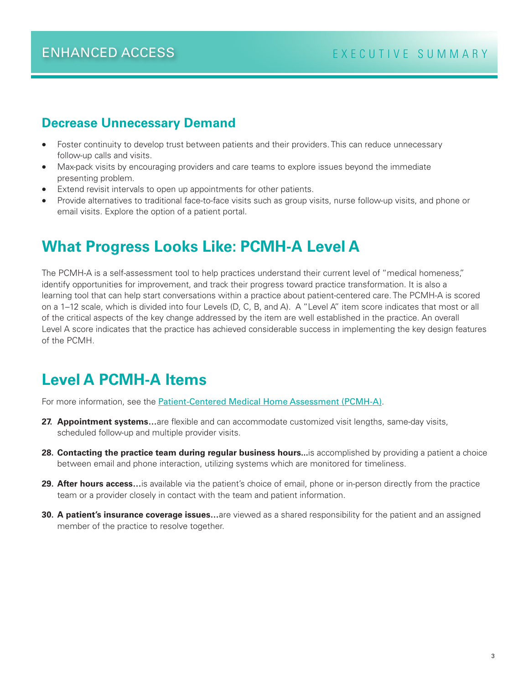#### **Decrease Unnecessary Demand**

- Foster continuity to develop trust between patients and their providers. This can reduce unnecessary follow-up calls and visits.
- Max-pack visits by encouraging providers and care teams to explore issues beyond the immediate presenting problem.
- Extend revisit intervals to open up appointments for other patients.
- Provide alternatives to traditional face-to-face visits such as group visits, nurse follow-up visits, and phone or email visits. Explore the option of a patient portal.

# **What Progress Looks Like: PCMH-A Level A**

The PCMH-A is a self-assessment tool to help practices understand their current level of "medical homeness," identify opportunities for improvement, and track their progress toward practice transformation. It is also a learning tool that can help start conversations within a practice about patient-centered care. The PCMH-A is scored on a 1–12 scale, which is divided into four Levels (D, C, B, and A). A "Level A" item score indicates that most or all of the critical aspects of the key change addressed by the item are well established in the practice. An overall Level A score indicates that the practice has achieved considerable success in implementing the key design features of the PCMH.

# **Level A PCMH-A Items**

For more information, see the **[Patient-Centered Medical Home Assessment \(PCMH-A\)](http://www.safetynetmedicalhome.org/sites/default/files/PCMH-A.pdf)**.

- **27. Appointment systems…**are flexible and can accommodate customized visit lengths, same-day visits, scheduled follow-up and multiple provider visits.
- **28. Contacting the practice team during regular business hours...**is accomplished by providing a patient a choice between email and phone interaction, utilizing systems which are monitored for timeliness.
- **29. After hours access…**is available via the patient's choice of email, phone or in-person directly from the practice team or a provider closely in contact with the team and patient information.
- **30. A patient's insurance coverage issues…**are viewed as a shared responsibility for the patient and an assigned member of the practice to resolve together.